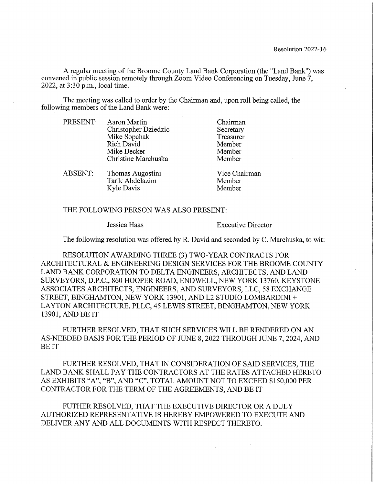A regular meeting of the Broome County Land Bank Corporation (the "Land Bank") was convened in public session remotely through Zoom Video Conferencing on Tuesday, June 7, 2022, at  $3:30$  p.m., local time.

The meeting was called to order by the Chairman and, upon roll being called, the following members of the Land Bank were:

| PRESENT:       | Aaron Martin         | Chairman      |
|----------------|----------------------|---------------|
|                | Christopher Dziedzic | Secretary     |
|                | Mike Sopchak         | Treasurer     |
|                | Rich David           | Member        |
|                | Mike Decker          | Member        |
|                | Christine Marchuska  | Member        |
| <b>ABSENT:</b> | Thomas Augostini     | Vice Chairman |
|                | Tarik Abdelazim      | Member        |

### THE FOLLOWING PERSON WAS ALSO PRESENT:

Jessica Haas

Kyle Davis

**Executive Director** 

Member

The following resolution was offered by R. David and seconded by C. Marchuska, to wit:

RESOLUTION AWARDING THREE (3) TWO-YEAR CONTRACTS FOR ARCHITECTURAL & ENGINEERING DESIGN SERVICES FOR THE BROOME COUNTY LAND BANK CORPORATION TO DELTA ENGINEERS, ARCHITECTS, AND LAND SURVEYORS, D.P.C., 860 HOOPER ROAD, ENDWELL, NEW YORK 13760, KEYSTONE ASSOCIATES ARCHITECTS, ENGINEERS, AND SURVEYORS, LLC, 58 EXCHANGE STREET, BINGHAMTON, NEW YORK 13901, AND L2 STUDIO LOMBARDINI + LAYTON ARCHITECTURE, PLLC, 45 LEWIS STREET, BINGHAMTON, NEW YORK 13901, AND BE IT

FURTHER RESOLVED, THAT SUCH SERVICES WILL BE RENDERED ON AN AS-NEEDED BASIS FOR THE PERIOD OF JUNE 8, 2022 THROUGH JUNE 7, 2024, AND **BEIT** 

FURTHER RESOLVED, THAT IN CONSIDERATION OF SAID SERVICES, THE LAND BANK SHALL PAY THE CONTRACTORS AT THE RATES ATTACHED HERETO AS EXHIBITS "A", "B", AND "C", TOTAL AMOUNT NOT TO EXCEED \$150,000 PER CONTRACTOR FOR THE TERM OF THE AGREEMENTS, AND BE IT

FUTHER RESOLVED, THAT THE EXECUTIVE DIRECTOR OR A DULY AUTHORIZED REPRESENTATIVE IS HEREBY EMPOWERED TO EXECUTE AND DELIVER ANY AND ALL DOCUMENTS WITH RESPECT THERETO.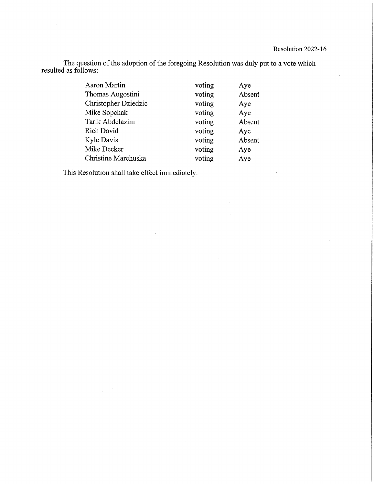The question of the adoption of the foregoing Resolution was duly put to a vote which resulted as follows:

| Aaron Martin         | voting | Aye    |
|----------------------|--------|--------|
| Thomas Augostini     | voting | Absent |
| Christopher Dziedzic | voting | Aye    |
| Mike Sopchak         | voting | Aye    |
| Tarik Abdelazim      | voting | Absent |
| <b>Rich David</b>    | voting | Aye    |
| Kyle Davis           | voting | Absent |
| Mike Decker          | voting | Aye    |
| Christine Marchuska  | voting | Aye    |

This Resolution shall take effect immediately.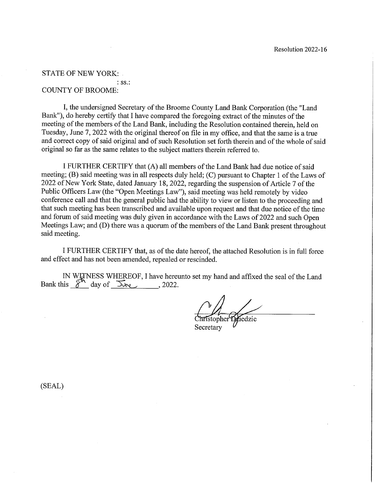#### **STATE OF NEW YORK:**

#### $:$  SS $.$ : **COUNTY OF BROOME:**

I, the undersigned Secretary of the Broome County Land Bank Corporation (the "Land" Bank"), do hereby certify that I have compared the foregoing extract of the minutes of the meeting of the members of the Land Bank, including the Resolution contained therein, held on Tuesday, June 7, 2022 with the original thereof on file in my office, and that the same is a true and correct copy of said original and of such Resolution set forth therein and of the whole of said original so far as the same relates to the subject matters therein referred to.

I FURTHER CERTIFY that (A) all members of the Land Bank had due notice of said meeting; (B) said meeting was in all respects duly held; (C) pursuant to Chapter 1 of the Laws of 2022 of New York State, dated January 18, 2022, regarding the suspension of Article 7 of the Public Officers Law (the "Open Meetings Law"), said meeting was held remotely by video conference call and that the general public had the ability to view or listen to the proceeding and that such meeting has been transcribed and available upon request and that due notice of the time and forum of said meeting was duly given in accordance with the Laws of 2022 and such Open Meetings Law; and (D) there was a quorum of the members of the Land Bank present throughout said meeting.

I FURTHER CERTIFY that, as of the date hereof, the attached Resolution is in full force and effect and has not been amended, repealed or rescinded.

IN WITNESS WHEREOF, I have hereunto set my hand and affixed the seal of the Land<br>Bank this  $\frac{\delta^{n}}{\delta}$  day of  $\frac{\delta^{n}}{\delta}$  and  $\frac{\delta^{n}}{\delta}$  and  $\frac{\delta^{n}}{\delta}$  and  $\frac{\delta^{n}}{\delta}$  and  $\frac{\delta^{n}}{\delta}$  and  $\frac{\delta^{n}}{\delta}$  and  $\frac{\delta^{n}}$ 

Tristopher Dei

(SEAL)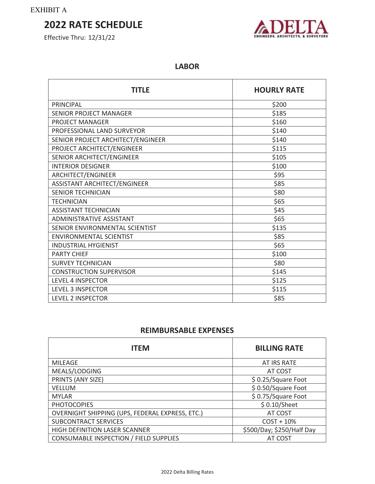EXHIBIT A

# **2022 RATE SCHEDULE**

Effective Thru: 12/31/22



### **LABOR**

| <b>TITLE</b>                      | <b>HOURLY RATE</b> |
|-----------------------------------|--------------------|
| <b>PRINCIPAL</b>                  | \$200              |
| <b>SENIOR PROJECT MANAGER</b>     | \$185              |
| <b>PROJECT MANAGER</b>            | \$160              |
| PROFESSIONAL LAND SURVEYOR        | \$140              |
| SENIOR PROJECT ARCHITECT/ENGINEER | \$140              |
| PROJECT ARCHITECT/ENGINEER        | \$115              |
| SENIOR ARCHITECT/ENGINEER         | \$105              |
| <b>INTERIOR DESIGNER</b>          | \$100              |
| <b>ARCHITECT/ENGINEER</b>         | \$95               |
| ASSISTANT ARCHITECT/ENGINEER      | \$85               |
| <b>SENIOR TECHNICIAN</b>          | \$80               |
| <b>TECHNICIAN</b>                 | \$65               |
| <b>ASSISTANT TECHNICIAN</b>       | \$45               |
| <b>ADMINISTRATIVE ASSISTANT</b>   | \$65               |
| SENIOR ENVIRONMENTAL SCIENTIST    | \$135              |
| <b>ENVIRONMENTAL SCIENTIST</b>    | \$85               |
| <b>INDUSTRIAL HYGIENIST</b>       | \$65               |
| <b>PARTY CHIEF</b>                | \$100              |
| <b>SURVEY TECHNICIAN</b>          | \$80               |
| <b>CONSTRUCTION SUPERVISOR</b>    | \$145              |
| <b>LEVEL 4 INSPECTOR</b>          | \$125              |
| <b>LEVEL 3 INSPECTOR</b>          | \$115              |
| <b>LEVEL 2 INSPECTOR</b>          | \$85               |

# **REIMBURSABLE EXPENSES**

| <b>ITEM</b>                                     | <b>BILLING RATE</b>       |
|-------------------------------------------------|---------------------------|
| <b>MILEAGE</b>                                  | AT IRS RATE               |
| MEALS/LODGING                                   | AT COST                   |
| PRINTS (ANY SIZE)                               | \$0.25/Square Foot        |
| <b>VELLUM</b>                                   | \$0.50/Square Foot        |
| <b>MYLAR</b>                                    | \$0.75/Square Foot        |
| <b>PHOTOCOPIES</b>                              | \$0.10/Sheet              |
| OVERNIGHT SHIPPING (UPS, FEDERAL EXPRESS, ETC.) | AT COST                   |
| <b>SUBCONTRACT SERVICES</b>                     | $COST + 10%$              |
| HIGH DEFINITION LASER SCANNER                   | \$500/Day; \$250/Half Day |
| CONSUMABLE INSPECTION / FIELD SUPPLIES          | AT COST                   |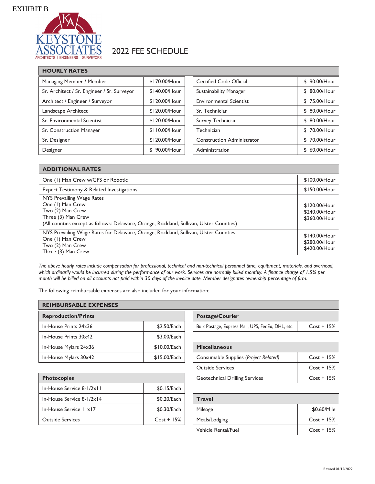

# 2022 FEE SCHEDULE

| <b>HOURLY RATES</b>                         |               |                                   |               |
|---------------------------------------------|---------------|-----------------------------------|---------------|
| Managing Member / Member                    | \$170.00/Hour | <b>Certified Code Official</b>    | \$ 90.00/Hour |
| Sr. Architect / Sr. Engineer / Sr. Surveyor | \$140.00/Hour | Sustainability Manager            | \$ 80.00/Hour |
| Architect / Engineer / Surveyor             | \$120.00/Hour | <b>Environmental Scientist</b>    | \$75.00/Hour  |
| Landscape Architect                         | \$120.00/Hour | Sr. Technician                    | \$ 80.00/Hour |
| Sr. Environmental Scientist                 | \$120.00/Hour | Survey Technician                 | \$ 80.00/Hour |
| Sr. Construction Manager                    | \$110.00/Hour | Technician                        | \$70.00/Hour  |
| Sr. Designer                                | \$120.00/Hour | <b>Construction Administrator</b> | \$70.00/Hour  |
| Designer                                    | \$ 90.00/Hour | Administration                    | \$ 60.00/Hour |

| <b>ADDITIONAL RATES</b>                                                                                                                                                            |                                                 |
|------------------------------------------------------------------------------------------------------------------------------------------------------------------------------------|-------------------------------------------------|
| One (1) Man Crew w/GPS or Robotic                                                                                                                                                  | \$100.00/Hour                                   |
| Expert Testimony & Related Investigations                                                                                                                                          | \$150.00/Hour                                   |
| NYS Prevailing Wage Rates<br>One (1) Man Crew<br>Two (2) Man Crew<br>Three (3) Man Crew<br>(All counties except as follows: Delaware, Orange, Rockland, Sullivan, Ulster Counties) | \$120.00/Hour<br>\$240.00/Hour<br>\$360,00/Hour |
| NYS Prevailing Wage Rates for Delaware, Orange, Rockland, Sullivan, Ulster Counties<br>One (1) Man Crew<br>Two (2) Man Crew<br>Three (3) Man Crew                                  | \$140.00/Hour<br>\$280.00/Hour<br>\$420.00/Hour |

*The above hourly rates include compensation for professional, technical and non-technical personnel time, equipment, materials, and overhead, which ordinarily would be incurred during the performance of our work. Services are normally billed monthly. A finance charge of 1.5% per month will be billed on all accounts not paid within 30 days of the invoice date. Member designates ownership percentage of firm.*

The following reimbursable expenses are also included for your information:

| <b>REIMBURSABLE EXPENSES</b> |              |                                                                   |  |  |
|------------------------------|--------------|-------------------------------------------------------------------|--|--|
| <b>Reproduction/Prints</b>   |              | <b>Postage/Courier</b>                                            |  |  |
| In-House Prints 24x36        | \$2.50/Each  | $Cost + 15%$<br>Bulk Postage, Express Mail, UPS, FedEx, DHL, etc. |  |  |
| In-House Prints 30x42        | \$3.00/Each  |                                                                   |  |  |
| In-House Mylars 24x36        | \$10.00/Each | <b>Miscellaneous</b>                                              |  |  |
| In-House Mylars 30x42        | \$15.00/Each | $Cost + 15%$<br>Consumable Supplies (Project Related)             |  |  |

| <b>Photocopies</b>        |              |               |
|---------------------------|--------------|---------------|
| In-House Service 8-1/2x11 | \$0.15/Each  |               |
| In-House Service 8-1/2x14 | \$0.20/Each  | <b>Travel</b> |
| In-House Service 11x17    | \$0.30/Each  | Mileage       |
| <b>Outside Services</b>   | $Cost + 15%$ | Meals/L       |

| <b>Postage/Courier</b>                            |              |
|---------------------------------------------------|--------------|
| Bulk Postage, Express Mail, UPS, FedEx, DHL, etc. | $Cost + 15%$ |

| In-House Mylars 24x36 | \$10.00/Each |                                       | <b>Miscellaneous</b>                  |              |
|-----------------------|--------------|---------------------------------------|---------------------------------------|--------------|
| In-House Mylars 30x42 | \$15.00/Each |                                       | Consumable Supplies (Project Related) | $Cost + 15%$ |
|                       |              |                                       | <b>Outside Services</b>               | $Cost + 15%$ |
| <b>Photocopies</b>    |              | <b>Geotechnical Drilling Services</b> |                                       | $Cost + 15%$ |

| In-House Service 8-1/2x14 | \$0.20/Each  | <b>Travel</b>       |              |
|---------------------------|--------------|---------------------|--------------|
| In-House Service 11x17    | \$0.30/Each  | Mileage             | \$0.60/Mile  |
| Outside Services          | $Cost + 15%$ | Meals/Lodging       | $Cost + 15%$ |
|                           |              | Vehicle Rental/Fuel | $Cost + 15%$ |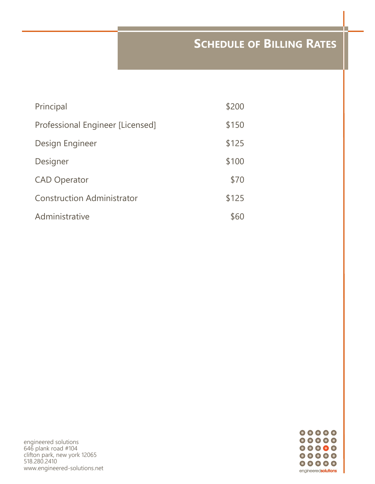# **SCHEDULE OF BILLING RATES**

| Principal                         | \$200 |
|-----------------------------------|-------|
| Professional Engineer [Licensed]  | \$150 |
| Design Engineer                   | \$125 |
| Designer                          | \$100 |
| <b>CAD Operator</b>               | \$70  |
| <b>Construction Administrator</b> | \$125 |
| Administrative                    | \$60  |

engineered solutions 646 plank road #104 clifton park, new york 12065 518.280.2410 www.engineered§solutions.net

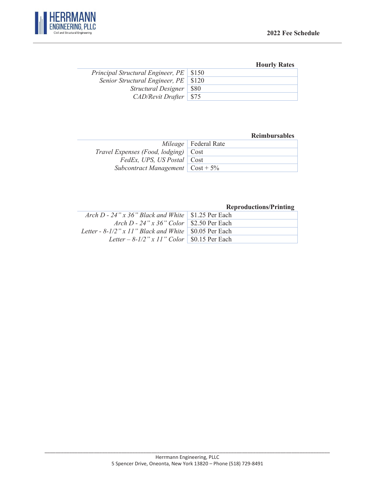

### **Hourly Rates**

| Principal Structural Engineer, PE \ \$150 |      |
|-------------------------------------------|------|
| Senior Structural Engineer, PE   \$120    |      |
| Structural Designer                       | \$80 |
| CAD/Revit Drafter   \$75                  |      |
|                                           |      |

### **Reimbursables**

|                                                          | <i>Mileage</i>   Federal Rate |
|----------------------------------------------------------|-------------------------------|
| Travel Expenses (Food, lodging) $\vert$ Cost             |                               |
| FedEx, UPS, US Postal   Cost                             |                               |
| Subcontract Management $\vert \ \text{Cost} + 5\% \vert$ |                               |

## **Reproductions/Printing**

| Arch D - 24" x 36" Black and White $\vert$ \$1.25 Per Each    |  |
|---------------------------------------------------------------|--|
| Arch D - 24" x 36" Color   \$2.50 Per Each                    |  |
| Letter - 8-1/2" x 11" Black and White $\vert$ \$0.05 Per Each |  |
| Letter – 8-1/2" x 11" Color   $$0.15$ Per Each                |  |